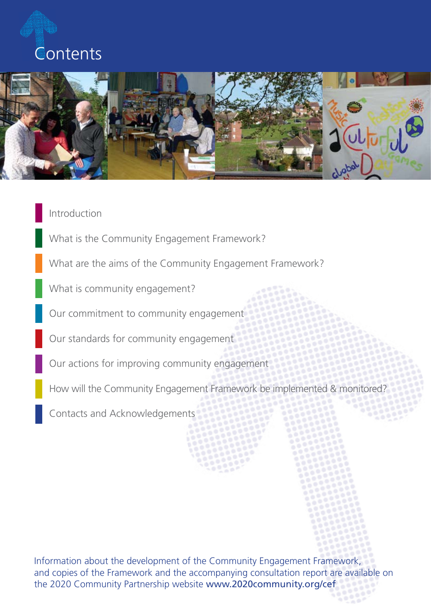



### Introduction

What is the Community Engagement Framework?

What are the aims of the Community Engagement Framework?

What is community engagement?

Our commitment to community engagement

Our standards for community engagement

Our actions for improving community engagement

How will the Community Engagement Framework be implemented & monitored?

Contacts and Acknowledgements

Information about the development of the Community Engagement Framework, and copies of the Framework and the accompanying consultation report are available on the 2020 Community Partnership website www.2020community.org/cef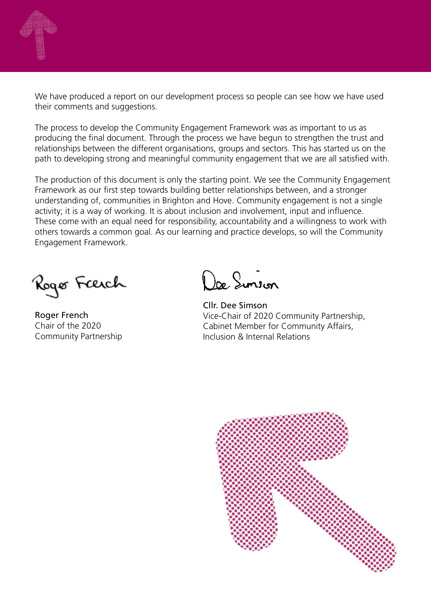

We have produced a report on our development process so people can see how we have used their comments and suggestions.

The process to develop the Community Engagement Framework was as important to us as producing the final document. Through the process we have begun to strengthen the trust and relationships between the different organisations, groups and sectors. This has started us on the path to developing strong and meaningful community engagement that we are all satisfied with.

The production of this document is only the starting point. We see the Community Engagement Framework as our first step towards building better relationships between, and a stronger understanding of, communities in Brighton and Hove. Community engagement is not a single activity; it is a way of working. It is about inclusion and involvement, input and influence. These come with an equal need for responsibility, accountability and a willingness to work with others towards a common goal. As our learning and practice develops, so will the Community Engagement Framework.

Rogo Færch

Roger French Chair of the 2020 Community Partnership

Doe Sinson

Cllr. Dee Simson Vice-Chair of 2020 Community Partnership, Cabinet Member for Community Affairs, Inclusion & Internal Relations

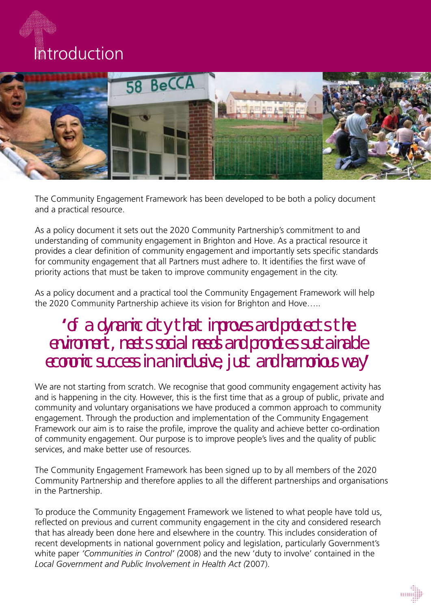# Introduction



The Community Engagement Framework has been developed to be both a policy document and a practical resource.

As a policy document it sets out the 2020 Community Partnership's commitment to and understanding of community engagement in Brighton and Hove. As a practical resource it provides a clear definition of community engagement and importantly sets specific standards for community engagement that all Partners must adhere to. It identifies the first wave of priority actions that must be taken to improve community engagement in the city.

As a policy document and a practical tool the Community Engagement Framework will help the 2020 Community Partnership achieve its vision for Brighton and Hove…..

## **'**of a dynamic city that improves and protects the environment, meets social needs and promotes sustainable economic success in an inclusive, just and harmonious way**'**

We are not starting from scratch. We recognise that good community engagement activity has and is happening in the city. However, this is the first time that as a group of public, private and community and voluntary organisations we have produced a common approach to community engagement. Through the production and implementation of the Community Engagement Framework our aim is to raise the profile, improve the quality and achieve better co-ordination of community engagement. Our purpose is to improve people's lives and the quality of public services, and make better use of resources.

The Community Engagement Framework has been signed up to by all members of the 2020 Community Partnership and therefore applies to all the different partnerships and organisations in the Partnership.

To produce the Community Engagement Framework we listened to what people have told us, reflected on previous and current community engagement in the city and considered research that has already been done here and elsewhere in the country. This includes consideration of recent developments in national government policy and legislation, particularly Government's white paper *'Communities in Control' (*2008) and the new 'duty to involve' contained in the *Local Government and Public Involvement in Health Act (*2007).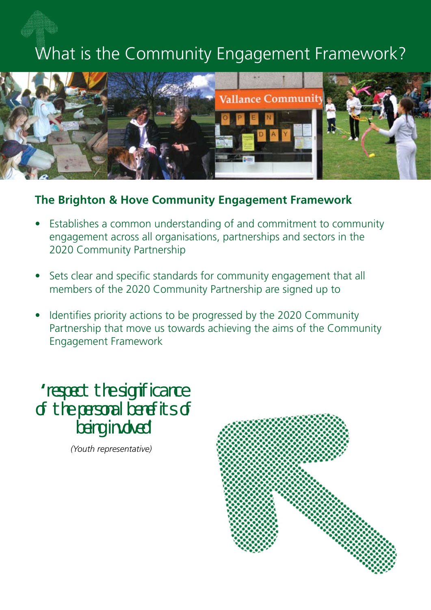# What is the Community Engagement Framework?



## **The Brighton & Hove Community Engagement Framework**

- Establishes a common understanding of and commitment to community engagement across all organisations, partnerships and sectors in the 2020 Community Partnership
- Sets clear and specific standards for community engagement that all members of the 2020 Community Partnership are signed up to
- Identifies priority actions to be progressed by the 2020 Community Partnership that move us towards achieving the aims of the Community Engagement Framework

**'**respect the significance of the personal benefits of being involved**'**

*(Youth representative)*

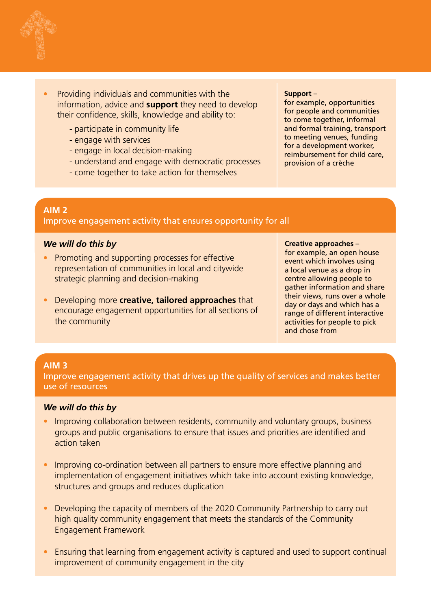

- Providing individuals and communities with the information, advice and **support** they need to develop their confidence, skills, knowledge and ability to:
	- participate in community life
	- engage with services
	- engage in local decision-making
	- understand and engage with democratic processes
	- come together to take action for themselves

#### **Support** –

for example, opportunities for people and communities to come together, informal and formal training, transport to meeting venues, funding for a development worker, reimbursement for child care, provision of a crèche

#### **AIM 2**

Improve engagement activity that ensures opportunity for all

#### *We will do this by*

- Promoting and supporting processes for effective representation of communities in local and citywide strategic planning and decision-making
- Developing more **creative, tailored approaches** that encourage engagement opportunities for all sections of the community

#### **Creative approaches** –

for example, an open house event which involves using a local venue as a drop in centre allowing people to gather information and share their views, runs over a whole day or days and which has a range of different interactive activities for people to pick and chose from

#### **AIM 3**

Improve engagement activity that drives up the quality of services and makes better use of resources

#### *We will do this by*

- Improving collaboration between residents, community and voluntary groups, business groups and public organisations to ensure that issues and priorities are identified and action taken
- Improving co-ordination between all partners to ensure more effective planning and implementation of engagement initiatives which take into account existing knowledge, structures and groups and reduces duplication
- Developing the capacity of members of the 2020 Community Partnership to carry out high quality community engagement that meets the standards of the Community Engagement Framework
- Ensuring that learning from engagement activity is captured and used to support continual improvement of community engagement in the city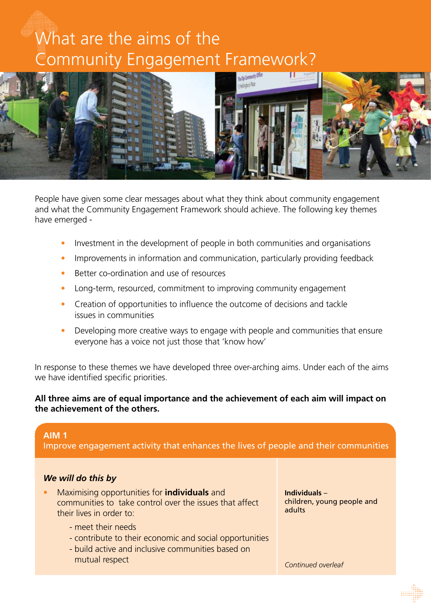# What are the aims of the Community Engagement Framework?



People have given some clear messages about what they think about community engagement and what the Community Engagement Framework should achieve. The following key themes have emerged -

- Investment in the development of people in both communities and organisations
- Improvements in information and communication, particularly providing feedback
- Better co-ordination and use of resources
- Long-term, resourced, commitment to improving community engagement
- Creation of opportunities to influence the outcome of decisions and tackle issues in communities
- Developing more creative ways to engage with people and communities that ensure everyone has a voice not just those that 'know how'

In response to these themes we have developed three over-arching aims. Under each of the aims we have identified specific priorities.

#### **All three aims are of equal importance and the achievement of each aim will impact on the achievement of the others.**

#### **AIM 1**

Improve engagement activity that enhances the lives of people and their communities

#### *We will do this by*

- Maximising opportunities for **individuals** and communities to take control over the issues that affect their lives in order to:
	- meet their needs
	- contribute to their economic and social opportunities
	- build active and inclusive communities based on mutual respect

**Individuals** – children, young people and adults

*Continued overleaf*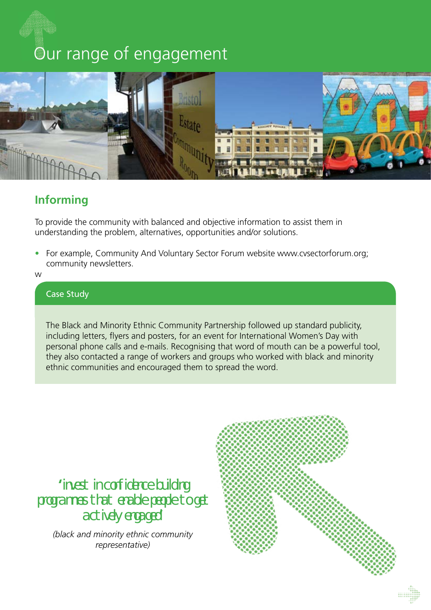## Our range of engagement



## **Informing**

To provide the community with balanced and objective information to assist them in understanding the problem, alternatives, opportunities and/or solutions.

• For example, Community And Voluntary Sector Forum website www.cvsectorforum.org; community newsletters.

w

### Case Study

The Black and Minority Ethnic Community Partnership followed up standard publicity, including letters, flyers and posters, for an event for International Women's Day with personal phone calls and e-mails. Recognising that word of mouth can be a powerful tool, they also contacted a range of workers and groups who worked with black and minority ethnic communities and encouraged them to spread the word.

**'**invest in confidence building programmes that enable people to get actively engaged**'**

*(black and minority ethnic community representative)*

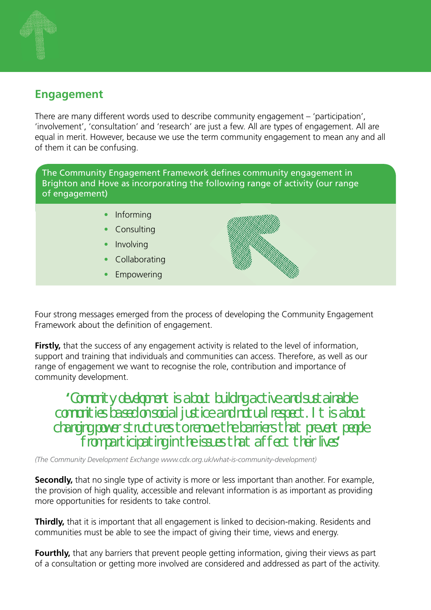## **Engagement**

There are many different words used to describe community engagement – 'participation', 'involvement', 'consultation' and 'research' are just a few. All are types of engagement. All are equal in merit. However, because we use the term community engagement to mean any and all of them it can be confusing.

The Community Engagement Framework defines community engagement in Brighton and Hove as incorporating the following range of activity (our range of engagement)

- Informing
- **Consulting**
- Involving
- Collaborating
- Empowering



Four strong messages emerged from the process of developing the Community Engagement Framework about the definition of engagement.

**Firstly,** that the success of any engagement activity is related to the level of information, support and training that individuals and communities can access. Therefore, as well as our range of engagement we want to recognise the role, contribution and importance of community development.

**'**Community development is about building active and sustainable communities based on social justice and mutual respect. It is about changing power structures to remove the barriers that prevent people from participating in the issues that affect their lives**'**

*(The Community Development Exchange www.cdx.org.uk/what-is-community-development)* 

**Secondly,** that no single type of activity is more or less important than another. For example, the provision of high quality, accessible and relevant information is as important as providing more opportunities for residents to take control.

**Thirdly,** that it is important that all engagement is linked to decision-making. Residents and communities must be able to see the impact of giving their time, views and energy.

**Fourthly,** that any barriers that prevent people getting information, giving their views as part of a consultation or getting more involved are considered and addressed as part of the activity.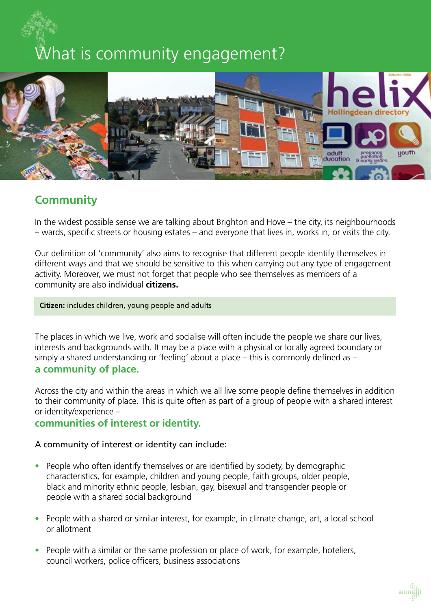# What is community engagement?



## **Community**

In the widest possible sense we are talking about Brighton and Hove – the city, its neighbourhoods – wards, specific streets or housing estates – and everyone that lives in, works in, or visits the city.

Our definition of 'community' also aims to recognise that different people identify themselves in different ways and that we should be sensitive to this when carrying out any type of engagement activity. Moreover, we must not forget that people who see themselves as members of a community are also individual **citizens.**

#### **Citizen:** includes children, young people and adults

The places in which we live, work and socialise will often include the people we share our lives, interests and backgrounds with. It may be a place with a physical or locally agreed boundary or simply a shared understanding or 'feeling' about a place – this is commonly defined as – **a community of place.**

Across the city and within the areas in which we all live some people define themselves in addition to their community of place. This is quite often as part of a group of people with a shared interest or identity/experience –

#### **communities of interest or identity.**

#### A community of interest or identity can include:

- People who often identify themselves or are identified by society, by demographic characteristics, for example, children and young people, faith groups, older people, black and minority ethnic people, lesbian, gay, bisexual and transgender people or people with a shared social background
- People with a shared or similar interest, for example, in climate change, art, a local school or allotment
- People with a similar or the same profession or place of work, for example, hoteliers, council workers, police officers, business associations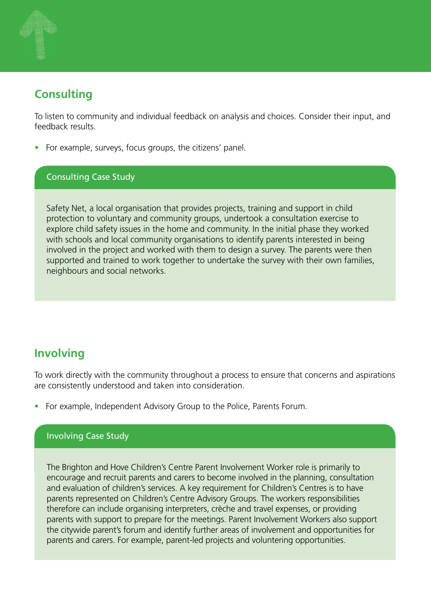## **Consulting**

To listen to community and individual feedback on analysis and choices. Consider their input, and feedback results.

• For example, surveys, focus groups, the citizens' panel.

### Consulting Case Study

Safety Net, a local organisation that provides projects, training and support in child protection to voluntary and community groups, undertook a consultation exercise to explore child safety issues in the home and community. In the initial phase they worked with schools and local community organisations to identify parents interested in being involved in the project and worked with them to design a survey. The parents were then supported and trained to work together to undertake the survey with their own families, neighbours and social networks.

## **Involving**

To work directly with the community throughout a process to ensure that concerns and aspirations are consistently understood and taken into consideration.

• For example, Independent Advisory Group to the Police, Parents Forum.

#### Involving Case Study

The Brighton and Hove Children's Centre Parent Involvement Worker role is primarily to encourage and recruit parents and carers to become involved in the planning, consultation and evaluation of children's services. A key requirement for Children's Centres is to have parents represented on Children's Centre Advisory Groups. The workers responsibilities therefore can include organising interpreters, crèche and travel expenses, or providing parents with support to prepare for the meetings. Parent Involvement Workers also support the citywide parent's forum and identify further areas of involvement and opportunities for parents and carers. For example, parent-led projects and voluntering opportunities.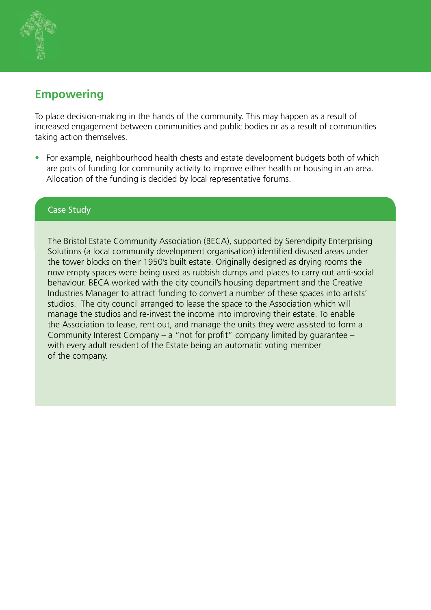## **Empowering**

To place decision-making in the hands of the community. This may happen as a result of increased engagement between communities and public bodies or as a result of communities taking action themselves.

• For example, neighbourhood health chests and estate development budgets both of which are pots of funding for community activity to improve either health or housing in an area. Allocation of the funding is decided by local representative forums.

#### Case Study

The Bristol Estate Community Association (BECA), supported by Serendipity Enterprising Solutions (a local community development organisation) identified disused areas under the tower blocks on their 1950's built estate. Originally designed as drying rooms the now empty spaces were being used as rubbish dumps and places to carry out anti-social behaviour. BECA worked with the city council's housing department and the Creative Industries Manager to attract funding to convert a number of these spaces into artists' studios. The city council arranged to lease the space to the Association which will manage the studios and re-invest the income into improving their estate. To enable the Association to lease, rent out, and manage the units they were assisted to form a Community Interest Company – a "not for profit" company limited by guarantee – with every adult resident of the Estate being an automatic voting member of the company.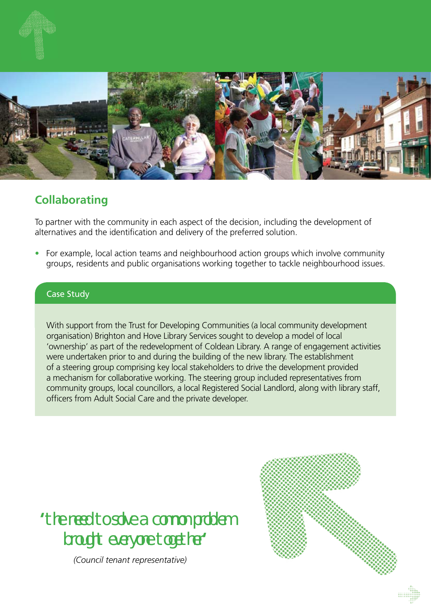

## **Collaborating**

To partner with the community in each aspect of the decision, including the development of alternatives and the identification and delivery of the preferred solution.

• For example, local action teams and neighbourhood action groups which involve community groups, residents and public organisations working together to tackle neighbourhood issues.

### Case Study

With support from the Trust for Developing Communities (a local community development organisation) Brighton and Hove Library Services sought to develop a model of local 'ownership' as part of the redevelopment of Coldean Library. A range of engagement activities were undertaken prior to and during the building of the new library. The establishment of a steering group comprising key local stakeholders to drive the development provided a mechanism for collaborative working. The steering group included representatives from community groups, local councillors, a local Registered Social Landlord, along with library staff, officers from Adult Social Care and the private developer.

**'**the need to solve a common problem brought everyone together**'**

*(Council tenant representative)*

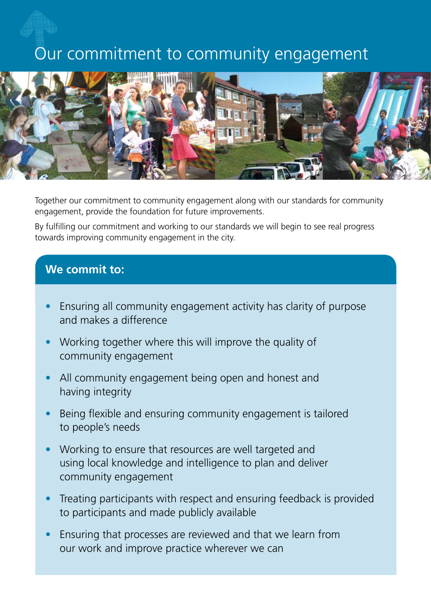## Our commitment to community engagement



Together our commitment to community engagement along with our standards for community engagement, provide the foundation for future improvements.

By fulfilling our commitment and working to our standards we will begin to see real progress towards improving community engagement in the city.

## **We commit to:**

- Ensuring all community engagement activity has clarity of purpose and makes a difference
- Working together where this will improve the quality of community engagement
- All community engagement being open and honest and having integrity
- Being flexible and ensuring community engagement is tailored to people's needs
- Working to ensure that resources are well targeted and using local knowledge and intelligence to plan and deliver community engagement
- Treating participants with respect and ensuring feedback is provided to participants and made publicly available
- Ensuring that processes are reviewed and that we learn from our work and improve practice wherever we can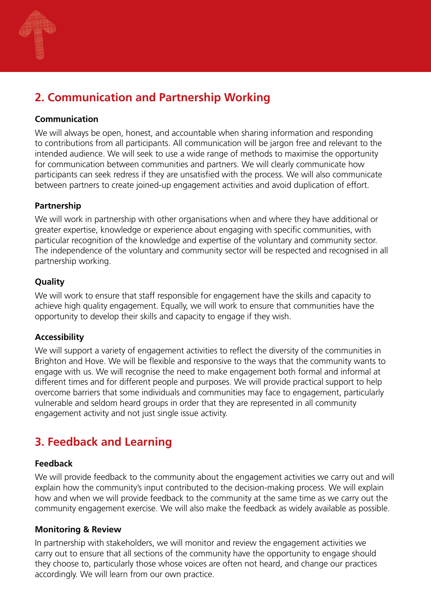

## **2. Communication and Partnership Working**

### **Communication**

We will always be open, honest, and accountable when sharing information and responding to contributions from all participants. All communication will be jargon free and relevant to the intended audience. We will seek to use a wide range of methods to maximise the opportunity for communication between communities and partners. We will clearly communicate how participants can seek redress if they are unsatisfied with the process. We will also communicate between partners to create joined-up engagement activities and avoid duplication of effort.

### **Partnership**

We will work in partnership with other organisations when and where they have additional or greater expertise, knowledge or experience about engaging with specific communities, with particular recognition of the knowledge and expertise of the voluntary and community sector. The independence of the voluntary and community sector will be respected and recognised in all partnership working.

### **Quality**

We will work to ensure that staff responsible for engagement have the skills and capacity to achieve high quality engagement. Equally, we will work to ensure that communities have the opportunity to develop their skills and capacity to engage if they wish.

#### **Accessibility**

We will support a variety of engagement activities to reflect the diversity of the communities in Brighton and Hove. We will be flexible and responsive to the ways that the community wants to engage with us. We will recognise the need to make engagement both formal and informal at different times and for different people and purposes. We will provide practical support to help overcome barriers that some individuals and communities may face to engagement, particularly vulnerable and seldom heard groups in order that they are represented in all community engagement activity and not just single issue activity.

## **3. Feedback and Learning**

#### **Feedback**

We will provide feedback to the community about the engagement activities we carry out and will explain how the community's input contributed to the decision-making process. We will explain how and when we will provide feedback to the community at the same time as we carry out the community engagement exercise. We will also make the feedback as widely available as possible.

#### **Monitoring & Review**

In partnership with stakeholders, we will monitor and review the engagement activities we carry out to ensure that all sections of the community have the opportunity to engage should they choose to, particularly those whose voices are often not heard, and change our practices accordingly. We will learn from our own practice.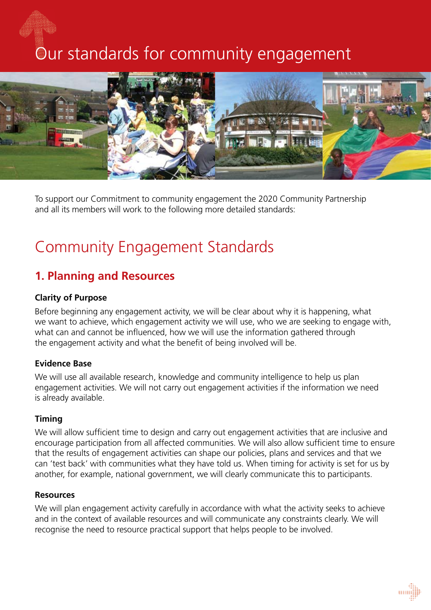# Our standards for community engagement



To support our Commitment to community engagement the 2020 Community Partnership and all its members will work to the following more detailed standards:

## Community Engagement Standards

## **1. Planning and Resources**

#### **Clarity of Purpose**

Before beginning any engagement activity, we will be clear about why it is happening, what we want to achieve, which engagement activity we will use, who we are seeking to engage with, what can and cannot be influenced, how we will use the information gathered through the engagement activity and what the benefit of being involved will be.

#### **Evidence Base**

We will use all available research, knowledge and community intelligence to help us plan engagement activities. We will not carry out engagement activities if the information we need is already available.

#### **Timing**

We will allow sufficient time to design and carry out engagement activities that are inclusive and encourage participation from all affected communities. We will also allow sufficient time to ensure that the results of engagement activities can shape our policies, plans and services and that we can 'test back' with communities what they have told us. When timing for activity is set for us by another, for example, national government, we will clearly communicate this to participants.

#### **Resources**

We will plan engagement activity carefully in accordance with what the activity seeks to achieve and in the context of available resources and will communicate any constraints clearly. We will recognise the need to resource practical support that helps people to be involved.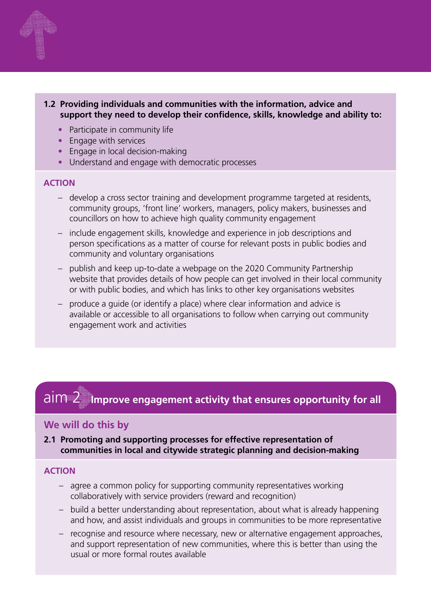

#### **1.2 Providing individuals and communities with the information, advice and support they need to develop their confidence, skills, knowledge and ability to:**

- Participate in community life
- Engage with services
- Engage in local decision-making
- Understand and engage with democratic processes

#### **ACTION**

- develop a cross sector training and development programme targeted at residents, community groups, 'front line' workers, managers, policy makers, businesses and councillors on how to achieve high quality community engagement
- include engagement skills, knowledge and experience in job descriptions and person specifications as a matter of course for relevant posts in public bodies and community and voluntary organisations
- publish and keep up-to-date a webpage on the 2020 Community Partnership website that provides details of how people can get involved in their local community or with public bodies, and which has links to other key organisations websites
- produce a guide (or identify a place) where clear information and advice is available or accessible to all organisations to follow when carrying out community engagement work and activities

#### aim 2  **Improve engagement activity that ensures opportunity for all**

#### **We will do this by**

**2.1 Promoting and supporting processes for effective representation of communities in local and citywide strategic planning and decision-making**

#### **ACTION**

- agree a common policy for supporting community representatives working collaboratively with service providers (reward and recognition)
- build a better understanding about representation, about what is already happening and how, and assist individuals and groups in communities to be more representative
- recognise and resource where necessary, new or alternative engagement approaches, and support representation of new communities, where this is better than using the usual or more formal routes available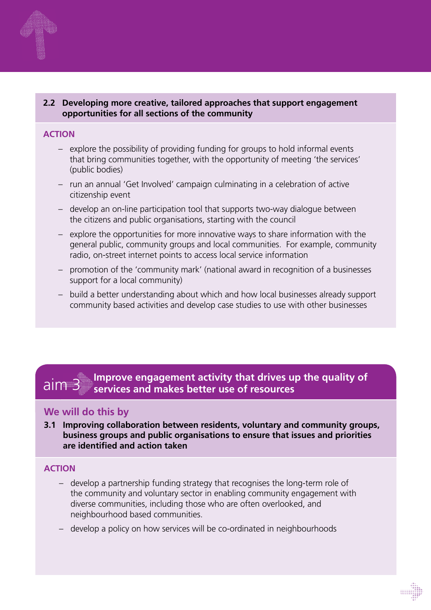#### **2.2 Developing more creative, tailored approaches that support engagement opportunities for all sections of the community**

#### **ACTION**

- explore the possibility of providing funding for groups to hold informal events that bring communities together, with the opportunity of meeting 'the services' (public bodies)
- run an annual 'Get Involved' campaign culminating in a celebration of active citizenship event
- develop an on-line participation tool that supports two-way dialogue between the citizens and public organisations, starting with the council
- explore the opportunities for more innovative ways to share information with the general public, community groups and local communities. For example, community radio, on-street internet points to access local service information
- promotion of the 'community mark' (national award in recognition of a businesses support for a local community)
- build a better understanding about which and how local businesses already support community based activities and develop case studies to use with other businesses

#### ngagen<br>ad mak **E**  $\alpha$  is a supprove engagement activity that drives up the quality of  $\alpha$ aim 3 services and makes better use of resources aim 3

#### Action **We will do this by**

**3.1 Improving collaboration between residents, voluntary and community groups, business groups and public organisations to ensure that issues and priorities are identified and action taken**

#### **ACTION**

- develop a partnership funding strategy that recognises the long-term role of the community and voluntary sector in enabling community engagement with diverse communities, including those who are often overlooked, and neighbourhood based communities.
- develop a policy on how services will be co-ordinated in neighbourhoods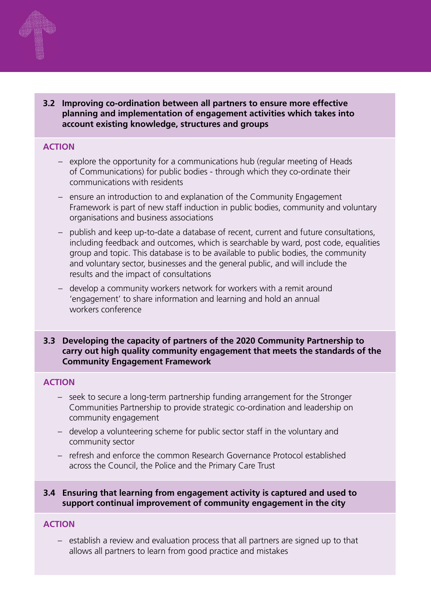

#### **ACTION**

- explore the opportunity for a communications hub (regular meeting of Heads of Communications) for public bodies - through which they co-ordinate their communications with residents
- ensure an introduction to and explanation of the Community Engagement Framework is part of new staff induction in public bodies, community and voluntary organisations and business associations
- publish and keep up-to-date a database of recent, current and future consultations, including feedback and outcomes, which is searchable by ward, post code, equalities group and topic. This database is to be available to public bodies, the community and voluntary sector, businesses and the general public, and will include the results and the impact of consultations
- develop a community workers network for workers with a remit around 'engagement' to share information and learning and hold an annual workers conference

#### **3.3 Developing the capacity of partners of the 2020 Community Partnership to carry out high quality community engagement that meets the standards of the Community Engagement Framework**

#### **ACTION**

- seek to secure a long-term partnership funding arrangement for the Stronger Communities Partnership to provide strategic co-ordination and leadership on community engagement
- develop a volunteering scheme for public sector staff in the voluntary and community sector
- refresh and enforce the common Research Governance Protocol established across the Council, the Police and the Primary Care Trust

#### **3.4 Ensuring that learning from engagement activity is captured and used to support continual improvement of community engagement in the city**

#### **ACTION**

– establish a review and evaluation process that all partners are signed up to that allows all partners to learn from good practice and mistakes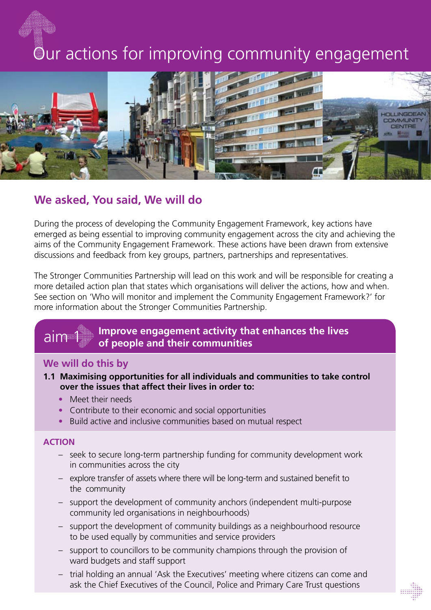# Our actions for improving community engagement



## **We asked, You said, We will do**

During the process of developing the Community Engagement Framework, key actions have emerged as being essential to improving community engagement across the city and achieving the aims of the Community Engagement Framework. These actions have been drawn from extensive discussions and feedback from key groups, partners, partnerships and representatives.

The Stronger Communities Partnership will lead on this work and will be responsible for creating a more detailed action plan that states which organisations will deliver the actions, how and when. See section on 'Who will monitor and implement the Community Engagement Framework?' for more information about the Stronger Communities Partnership.

#### **Improve engagement activity that enhances the lives of people and their communities** aim '

#### **We will do this by**

- **1.1 Maximising opportunities for all individuals and communities to take control over the issues that affect their lives in order to:** 
	- Meet their needs
	- Contribute to their economic and social opportunities
	- Build active and inclusive communities based on mutual respect

#### **ACTION**

- seek to secure long-term partnership funding for community development work in communities across the city
- explore transfer of assets where there will be long-term and sustained benefit to the community
- support the development of community anchors (independent multi-purpose community led organisations in neighbourhoods)
- support the development of community buildings as a neighbourhood resource to be used equally by communities and service providers
- support to councillors to be community champions through the provision of ward budgets and staff support
- trial holding an annual 'Ask the Executives' meeting where citizens can come and ask the Chief Executives of the Council, Police and Primary Care Trust questions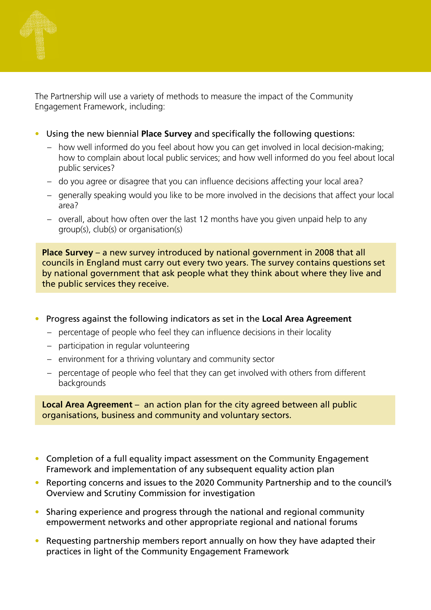

The Partnership will use a variety of methods to measure the impact of the Community Engagement Framework, including:

- Using the new biennial **Place Survey** and specifically the following questions:
	- how well informed do you feel about how you can get involved in local decision-making; how to complain about local public services; and how well informed do you feel about local public services?
	- do you agree or disagree that you can influence decisions affecting your local area?
	- generally speaking would you like to be more involved in the decisions that affect your local area?
	- overall, about how often over the last 12 months have you given unpaid help to any group(s), club(s) or organisation(s)

**Place Survey** – a new survey introduced by national government in 2008 that all councils in England must carry out every two years. The survey contains questions set by national government that ask people what they think about where they live and the public services they receive.

- Progress against the following indicators as set in the **Local Area Agreement**
	- percentage of people who feel they can influence decisions in their locality
	- participation in regular volunteering
	- environment for a thriving voluntary and community sector
	- percentage of people who feel that they can get involved with others from different backgrounds

**Local Area Agreement** – an action plan for the city agreed between all public organisations, business and community and voluntary sectors.

- Completion of a full equality impact assessment on the Community Engagement Framework and implementation of any subsequent equality action plan
- Reporting concerns and issues to the 2020 Community Partnership and to the council's Overview and Scrutiny Commission for investigation
- Sharing experience and progress through the national and regional community empowerment networks and other appropriate regional and national forums
- Requesting partnership members report annually on how they have adapted their practices in light of the Community Engagement Framework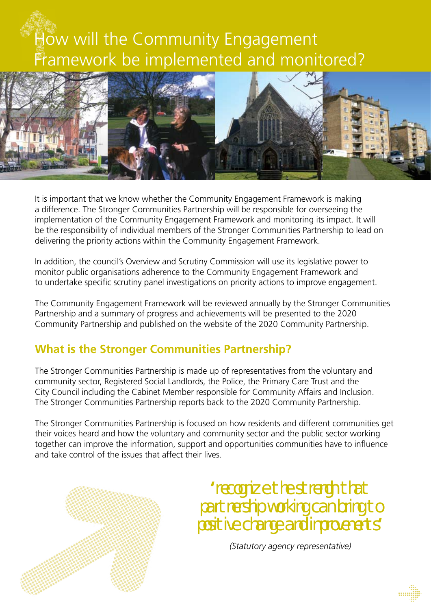# How will the Community Engagement Framework be implemented and monitored?



It is important that we know whether the Community Engagement Framework is making a difference. The Stronger Communities Partnership will be responsible for overseeing the implementation of the Community Engagement Framework and monitoring its impact. It will be the responsibility of individual members of the Stronger Communities Partnership to lead on delivering the priority actions within the Community Engagement Framework.

In addition, the council's Overview and Scrutiny Commission will use its legislative power to monitor public organisations adherence to the Community Engagement Framework and to undertake specific scrutiny panel investigations on priority actions to improve engagement.

The Community Engagement Framework will be reviewed annually by the Stronger Communities Partnership and a summary of progress and achievements will be presented to the 2020 Community Partnership and published on the website of the 2020 Community Partnership.

## **What is the Stronger Communities Partnership?**

The Stronger Communities Partnership is made up of representatives from the voluntary and community sector, Registered Social Landlords, the Police, the Primary Care Trust and the City Council including the Cabinet Member responsible for Community Affairs and Inclusion. The Stronger Communities Partnership reports back to the 2020 Community Partnership.

The Stronger Communities Partnership is focused on how residents and different communities get their voices heard and how the voluntary and community sector and the public sector working together can improve the information, support and opportunities communities have to influence and take control of the issues that affect their lives.



**'**recognize the strengh that partnership working can bring to positive change and improvements**'**

*(Statutory agency representative)*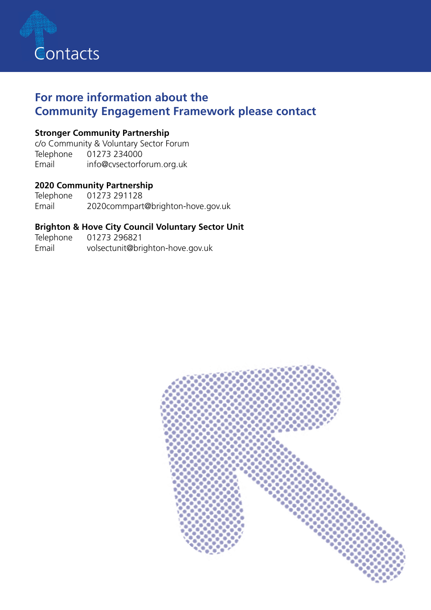

## **For more information about the Community Engagement Framework please contact**

### **Stronger Community Partnership**

c/o Community & Voluntary Sector Forum Telephone 01273 234000 Email info@cvsectorforum.org.uk

### **2020 Community Partnership**

Telephone 01273 291128 Email 2020commpart@brighton-hove.gov.uk

### **Brighton & Hove City Council Voluntary Sector Unit**

Telephone 01273 296821 Email volsectunit@brighton-hove.gov.uk